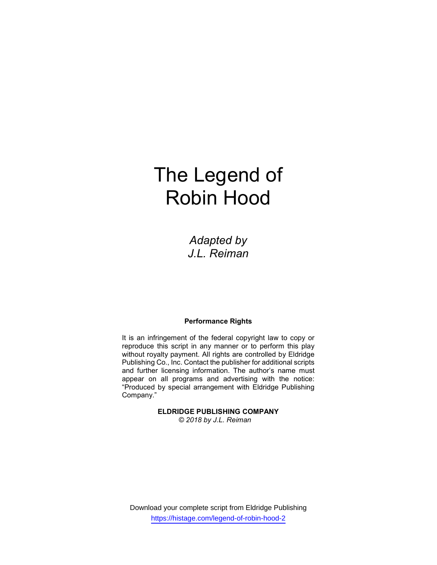# The Legend of Robin Hood

Adapted by J.L. Reiman

### Performance Rights

It is an infringement of the federal copyright law to copy or reproduce this script in any manner or to perform this play without royalty payment. All rights are controlled by Eldridge Publishing Co., Inc. Contact the publisher for additional scripts and further licensing information. The author's name must appear on all programs and advertising with the notice: "Produced by special arrangement with Eldridge Publishing Company."

> ELDRIDGE PUBLISHING COMPANY © 2018 by J.L. Reiman

Download your complete script from Eldridge Publishing https://histage.com/legend-of-robin-hood-2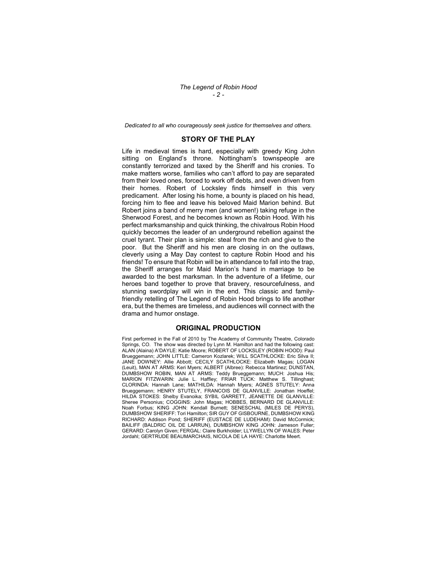Dedicated to all who courageously seek justice for themselves and others.

#### STORY OF THE PLAY

Life in medieval times is hard, especially with greedy King John sitting on England's throne. Nottingham's townspeople are constantly terrorized and taxed by the Sheriff and his cronies. To make matters worse, families who can't afford to pay are separated from their loved ones, forced to work off debts, and even driven from their homes. Robert of Locksley finds himself in this very predicament. After losing his home, a bounty is placed on his head, forcing him to flee and leave his beloved Maid Marion behind. But Robert joins a band of merry men (and women!) taking refuge in the Sherwood Forest, and he becomes known as Robin Hood. With his perfect marksmanship and quick thinking, the chivalrous Robin Hood quickly becomes the leader of an underground rebellion against the cruel tyrant. Their plan is simple: steal from the rich and give to the poor. But the Sheriff and his men are closing in on the outlaws, cleverly using a May Day contest to capture Robin Hood and his friends! To ensure that Robin will be in attendance to fall into the trap, the Sheriff arranges for Maid Marion's hand in marriage to be awarded to the best marksman. In the adventure of a lifetime, our heroes band together to prove that bravery, resourcefulness, and stunning swordplay will win in the end. This classic and familyfriendly retelling of The Legend of Robin Hood brings to life another era, but the themes are timeless, and audiences will connect with the drama and humor onstage.

#### ORIGINAL PRODUCTION

First performed in the Fall of 2010 by The Academy of Community Theatre, Colorado Springs, CO. The show was directed by Lynn M. Hamilton and had the following cast: ALAN (Alaina) A'DAYLE: Katie Moore; ROBERT OF LOCKSLEY (ROBIN HOOD): Paul Brueggemann; JOHN LITTLE: Cameron Kozlarek; WILL SCATHLOCKE: Eric Silva II; JANE DOWNEY: Allie Abbott; CECILY SCATHLOCKE: Elizabeth Magas; LOGAN (Leuit), MAN AT ARMS: Keri Myers; ALBERT (Albree): Rebecca Martinez; DUNSTAN, DUMBSHOW ROBIN, MAN AT ARMS: Teddy Brueggemann; MUCH: Joshua His; MARION FITZWARIN: Julie L. Haffley; FRIAR TUCK: Matthew S. Tillinghast; CLORINDA: Hannah Lane; MATHILDA: Hannah Myers; AGNES STUTELY: Anna Brueggemann; HENRY STUTELY, FRANCOIS DE GLANVILLE: Jonathan Hoeffel; HILDA STOKES: Shelby Evanoika; SYBIL GARRETT, JEANETTE DE GLANVILLE: Sheree Personius; COGGINS: John Magas; HOBBES, BERNARD DE GLANVILLE: Noah Forbus; KING JOHN: Kendall Burnett; SENESCHAL (MILES DE PERYS), DUMBSHOW SHERIFF: Tori Hamilton; SIR GUY OF GISBOURNE, DUMBSHOW KING RICHARD: Addison Pond; SHERIFF (EUSTACE DE LUDEHAM): David McCormick; BAILIFF (BALDRIC OIL DE LARRUN), DUMBSHOW KING JOHN: Jameson Fuller; GERARD: Carolyn Given; FERGAL: Claire Burkholder; LLYWELLYN OF WALES: Peter Jordahl; GERTRUDE BEAUMARCHAIS, NICOLA DE LA HAYE: Charlotte Meert.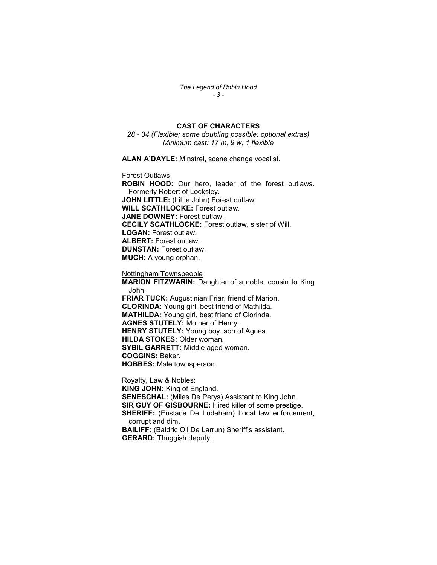The Legend of Robin Hood - 3 -

## CAST OF CHARACTERS

28 - 34 (Flexible; some doubling possible; optional extras) Minimum cast: 17 m, 9 w, 1 flexible

ALAN A'DAYLE: Minstrel, scene change vocalist.

Forest Outlaws

ROBIN HOOD: Our hero, leader of the forest outlaws. Formerly Robert of Locksley. JOHN LITTLE: (Little John) Forest outlaw. WILL SCATHLOCKE: Forest outlaw. JANE DOWNEY: Forest outlaw. CECILY SCATHLOCKE: Forest outlaw, sister of Will. LOGAN: Forest outlaw. ALBERT: Forest outlaw. DUNSTAN: Forest outlaw. MUCH: A young orphan.

Nottingham Townspeople

MARION FITZWARIN: Daughter of a noble, cousin to King John. FRIAR TUCK: Augustinian Friar, friend of Marion. CLORINDA: Young girl, best friend of Mathilda. MATHILDA: Young girl, best friend of Clorinda. AGNES STUTELY: Mother of Henry. HENRY STUTELY: Young boy, son of Agnes. HILDA STOKES: Older woman. SYBIL GARRETT: Middle aged woman. COGGINS: Baker. HOBBES: Male townsperson.

Royalty, Law & Nobles:

KING JOHN: King of England. SENESCHAL: (Miles De Perys) Assistant to King John. SIR GUY OF GISBOURNE: Hired killer of some prestige. SHERIFF: (Eustace De Ludeham) Local law enforcement, corrupt and dim. BAILIFF: (Baldric Oil De Larrun) Sheriff's assistant. GERARD: Thuggish deputy.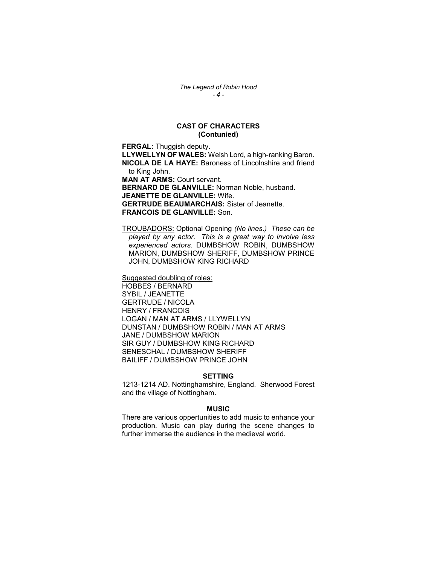## CAST OF CHARACTERS (Contunied)

FERGAL: Thuggish deputy. LLYWELLYN OF WALES: Welsh Lord, a high-ranking Baron. NICOLA DE LA HAYE: Baroness of Lincolnshire and friend to King John. MAN AT ARMS: Court servant. BERNARD DE GLANVILLE: Norman Noble, husband. JEANETTE DE GLANVILLE: Wife. GERTRUDE BEAUMARCHAIS: Sister of Jeanette. FRANCOIS DE GLANVILLE: Son.

TROUBADORS: Optional Opening (No lines.) These can be played by any actor. This is a great way to involve less experienced actors. DUMBSHOW ROBIN, DUMBSHOW MARION, DUMBSHOW SHERIFF, DUMBSHOW PRINCE JOHN, DUMBSHOW KING RICHARD

Suggested doubling of roles: HOBBES / BERNARD SYBIL / JEANETTE GERTRUDE / NICOLA HENRY / FRANCOIS LOGAN / MAN AT ARMS / LLYWELLYN DUNSTAN / DUMBSHOW ROBIN / MAN AT ARMS JANE / DUMBSHOW MARION SIR GUY / DUMBSHOW KING RICHARD SENESCHAL / DUMBSHOW SHERIFF BAILIFF / DUMBSHOW PRINCE JOHN

#### SETTING

1213-1214 AD. Nottinghamshire, England. Sherwood Forest and the village of Nottingham.

#### **MUSIC**

There are various oppertunities to add music to enhance your production. Music can play during the scene changes to further immerse the audience in the medieval world.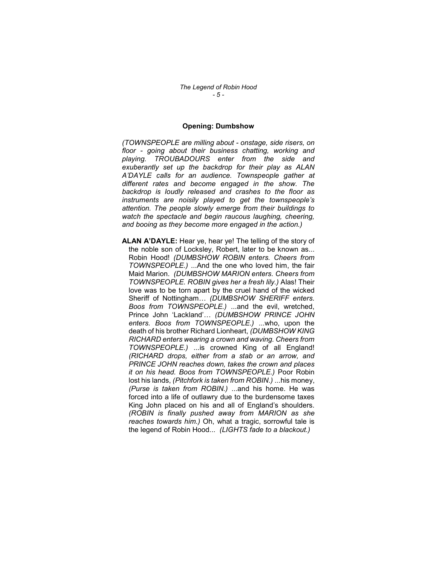#### Opening: Dumbshow

(TOWNSPEOPLE are milling about - onstage, side risers, on floor - going about their business chatting, working and playing. TROUBADOURS enter from the side and exuberantly set up the backdrop for their play as ALAN A'DAYLE calls for an audience. Townspeople gather at different rates and become engaged in the show. The backdrop is loudly released and crashes to the floor as instruments are noisily played to get the townspeople's attention. The people slowly emerge from their buildings to watch the spectacle and begin raucous laughing, cheering, and booing as they become more engaged in the action.)

ALAN A'DAYLE: Hear ve, hear ve! The telling of the story of the noble son of Locksley, Robert, later to be known as... Robin Hood! (DUMBSHOW ROBIN enters. Cheers from TOWNSPEOPLE.) ...And the one who loved him, the fair Maid Marion. (DUMBSHOW MARION enters. Cheers from TOWNSPEOPLE. ROBIN gives her a fresh lily.) Alas! Their love was to be torn apart by the cruel hand of the wicked Sheriff of Nottingham... (DUMBSHOW SHERIFF enters. Boos from TOWNSPEOPLE.) ...and the evil, wretched, Prince John 'Lackland'… (DUMBSHOW PRINCE JOHN enters. Boos from TOWNSPEOPLE.) ...who, upon the death of his brother Richard Lionheart, (DUMBSHOW KING RICHARD enters wearing a crown and waving. Cheers from TOWNSPEOPLE.) ...is crowned King of all England! (RICHARD drops, either from a stab or an arrow, and PRINCE JOHN reaches down, takes the crown and places it on his head. Boos from TOWNSPEOPLE.) Poor Robin lost his lands, (Pitchfork is taken from ROBIN.) ...his money, (Purse is taken from ROBIN.) ...and his home. He was forced into a life of outlawry due to the burdensome taxes King John placed on his and all of England's shoulders. (ROBIN is finally pushed away from MARION as she reaches towards him.) Oh, what a tragic, sorrowful tale is the legend of Robin Hood... (LIGHTS fade to a blackout.)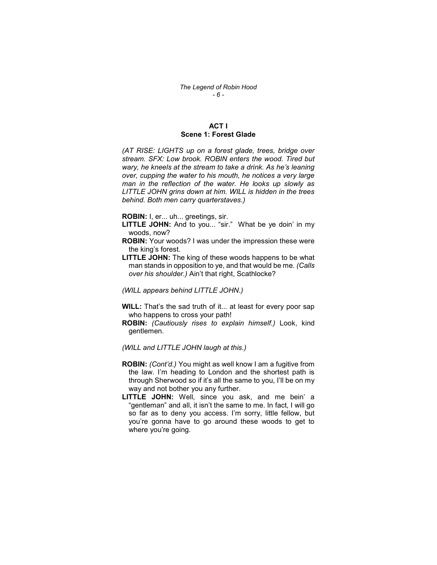## ACT I Scene 1: Forest Glade

(AT RISE: LIGHTS up on a forest glade, trees, bridge over stream. SFX: Low brook. ROBIN enters the wood. Tired but wary, he kneels at the stream to take a drink. As he's leaning over, cupping the water to his mouth, he notices a very large man in the reflection of the water. He looks up slowly as LITTLE JOHN grins down at him. WILL is hidden in the trees behind. Both men carry quarterstaves.)

ROBIN: I, er... uh... greetings, sir.

- LITTLE JOHN: And to you... "sir." What be ye doin' in my woods, now?
- ROBIN: Your woods? I was under the impression these were the king's forest.
- **LITTLE JOHN:** The king of these woods happens to be what man stands in opposition to ye, and that would be me. (Calls over his shoulder.) Ain't that right, Scathlocke?

(WILL appears behind LITTLE JOHN.)

- WILL: That's the sad truth of it... at least for every poor sap who happens to cross your path!
- ROBIN: (Cautiously rises to explain himself.) Look, kind gentlemen.

(WILL and LITTLE JOHN laugh at this.)

- ROBIN: (Cont'd.) You might as well know I am a fugitive from the law. I'm heading to London and the shortest path is through Sherwood so if it's all the same to you, I'll be on my way and not bother you any further.
- LITTLE JOHN: Well, since you ask, and me bein' a "gentleman" and all, it isn't the same to me. In fact, I will go so far as to deny you access. I'm sorry, little fellow, but you're gonna have to go around these woods to get to where you're going.